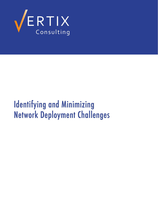

# Identifying and Minimizing Network Deployment Challenges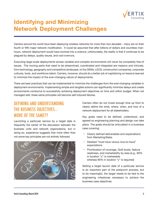

## **Identifying and Minimizing Network Deployment Challenges**

Carriers around the world have been deploying wireless networks for more than two decades - many are on their fourth or fifth major network modification. It could be assumed that after billions of dollars and countless manhours, network deployment would have evolved into a science; unfortunately, the reality is that it continues to be plagued by delays, quality issues, and cost overruns.

Executing large-scale deployments across variable and complex environments will never be completely free of issues. The moving parts that need to be streamlined, coordinated and integrated are massive and intricate, from technology, geography and competitive landscape, to the OEMs, LECS, construction companies, corporate cultures, tools, and workforce talent. Carriers, however, should do a better job of capitalizing on lessons learned to minimize the impact of the ever-changing nature of deployments.

There are best practices that can be implemented to minimize the challenges from the ever-changing variables in deployment environments. Implementing simple and tangible actions can significantly minimize delays and create environments conducive to successfully achieving deployment objectives on time and within budget. When not managed well, these same principles will become self-induced failures.

### DeFININg aND UNDerstaNDINg the BUsINess oBJeCtIves… More oF the saMe??

Launching a particular service by a target date is frequently the center of the discussion between the business units and network organizations, but in doing so, experience suggests that more often than not some key principles are not entirely followed.



Carriers often do not invest enough time up front to clearly define the what, where, when, and how of a network deployment for all stakeholders.

Key goals need to be defined, understood, and agreed so engineering planning and design can take place. The goals should be articulated in a business case covering:

- Clearly defined deliverables and expectations from Marketing/Sales
- Detailed "must have versus nice-to-have" expectations
- Prioritization of coverage, QoS levels, feature readiness, and marketability by area (e.g., 80% in location "x" is marketable whereas 90% in location "y" is required)

Setting a target launch date of a particular service is an important part of the prelaunch process, but to be meaningful, the target needs to be tied to the engineering milestones necessary to achieve the business case objectives.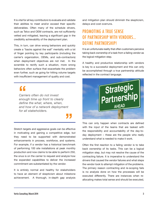It is vital for all key contributors to evaluate and validate their abilities to meet and/or exceed their specific deliverables. Often many of the schedule drivers, such as Telco and OEM contracts, are not sufficiently vetted and mitigated, leaving a significant gap in the credibility achievability of the deployment plan.

This, in turn, can drive wrong behaviors and quickly create a "backs against the wall" mentality with a lot of finger pointing by key participants (including the carrier's organization, OEMs, and sub-contractors) when deployment objectives are not met. In the scramble to rectify such a situation, more wrong behaviors often surface that exacerbate the problem even further, such as going for hitting volume targets with insufficient management of quality and cost.

## **"**

*Carriers often do not invest enough time up front to clearly define the what, where, when, and how of a network deployment for all stakeholders.*

**Stretch targets and aggressive goals can be effective** in motivating and gaining a competitive edge, but they need to be supported with demonstrated enhancements in process, workforce, and systems. For example, if a vendor has a historical benchmark of performing 100 site installations at peak monthly production and now claims to be able to perform 250, the onus is on the carrier to request and analyze how the expanded capabilities to deliver the increased commitment are substantiated by the vendor.

It is entirely normal and healthy for stakeholders to have an element of skepticism about milestone achievement. A thorough, in-depth gap analysis and mitigation plan should diminish the skepticism, delays and cost overruns.

## PROMOTING A TRIJF SENSE oF PartNershIP WIth veNDors… DeFINe PartNershIP!

It is an unfortunate reality that often customers perceive taking back ownership of a task from a failing vendor as the logical mitigation step.

A healthy and productive relationship with vendors is key to a successful deployment and this can only be accomplished through a true partnership attitude reflected in the contract language.



This can only happen when contracts are defined with the input of the teams that are tasked with the responsibility and accountability of the day-today deployment – these are the people who really understand what is needed to make it work.

Often the first reaction to a failing vendor is to take back ownership of its tasks. This can be a logical mitigation step, but may not resolve the cause of the contracting failure. It is imperative to understand the drivers that caused the vendor failures and what steps the vendor took to attempt mitigation of the problems. The primary reason contracting and re-scoping fails is no analysis done on how the processes will be executed differently. There are instances when reallocating makes total sense and should be executed,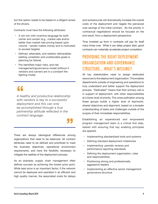but this option needs to be based on a diligent review of the drivers.

Contracts must have the following attributes:

- A win-win with incentive language for both carrier and vendor (e.g., market rate and/or better than market rate pricing based upon volume - vendor makes money and is motivated to exceed targets)
- Defined, attainable, and realistic deliverables (setting unrealistic and unattainable goals is planning for failure)
- Pre-identified major risks, and risk management/governance model (without it vendors and carriers are in a constant firefighting mode)

## **"**

*A healthy and productive relationship with vendors is key to a successful deployment and this can only be accomplished through a true partnership attitude reflected in the contract language.*

There are always ideological differences among organizations that need to be balanced. All contract attributes need to be defined and prioritized to meet the business objectives, operational environment requirements, and have the flexibility necessary to mitigate the realities of the deployment process. **"**

As an example, supply chain management often defines success as achieving the lowest price point. While best price is an important factor, if the network cannot be deployed and operated in an efficient and high quality manner, the associated costs for delays

and workarounds will dramatically increase the overall costs of the deployment and negate the perceived cost savings of the initial contract. So the priority in contractual negotiations should be focused on the end result, from a deployment perspective.

Time invested up front in contracts will pay for itself many times over. While it can delay project start, good contracts can materially accelerate project completion.

### PROVIDING THE RIGHT DEPI OYMENT organization and governance structure… what's missing?

All key stakeholders need to assign dedicated resources to the deployment organization. This enables departments outside of engineering and operations to truly understand and better support the deployment process. "Dedicated" means that their primary role is in support of deployment, with other responsibilities at a lower level of priority. The cross pollination among these groups builds a higher level of teamwork, shared objectives and alignment, based on a broader understanding of tasks and challenges outside of the scopes of their immediate responsibilities.

Establishing an experienced and empowered program management team is a critical first step, tasked with ensuring that key enabling principles are applied:

- Implementing standardized tools and systems
- Defining standard deployment milestones
- Implementing periodic reviews and performance reporting standards
- Defining the deployment organization, roles and responsibilities
- Positioning strong and professionally aggressive leaders
- Implementing an effective senior management governance structure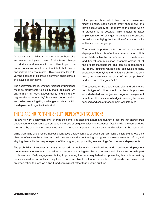

Organizational stability is another key attribute of a successful deployment team. A significant change of priorities and ownership can often impact the team's focus and result in an inability to hold teams and individuals accountable. This inevitably leads to varying degrees of disorder, a common characteristic of delayed deployments.

The deployment leads, whether regional or functional, must be empowered to quickly make decisions. An environment of 100% accountability and culture of "aggressive accountability" is a must. Understanding and collectively mitigating challenges as a team within the deployment organization is vital.

Clean process hand-offs between groups minimizes finger pointing. Each defined entity should own and have accountability for as many of the tasks within a process as is possible. This enables a faster implementation of changes to enhance the process as well as simplifying the transition of a process in its entirety to another group.

The most important attribute of a successful deployment team is effective communication. It is completely within the carrier's control to create open and honest communication channels among all of the project stakeholders. This can be accomplished by openly defining realistic and achievable targets, proactively identifying and mitigating challenges as a team, and maintaining a culture of "it's our problem" and not one of "it's your fault."

The success of the deployment plan and adherence to this type of culture should be the sole purposes of a dedicated and objective program management structure. This is a strong hedge in keeping the teams focused and senior management well informed.

## there are No "oFF-the-shelF" DePloyMeNt solUtIoNs

No two network deployments will ever be the same. The changing nature and quantity of factors that characterize deployment environments can produce hundreds of unique challenging scenarios. Dealing with the complexities presented by each of these scenarios in a structured and repeatable way is an art and challenge to be mastered.

While there is no single recipe that can guarantee a deployment free of issues, carriers can significantly improve their chances of success by addressing basic business, vendor contracting, and governance requirements upfront, and aligning them with the unique aspects of the program, supported by key learnings from previous deployments.

The probability of success is greatly increased by implementing a well-defined and experienced deployment program management team that takes into account and mitigates the requirements and challenges normally part of deployment. Early engagement is key to promoting the necessary behaviors, preventing teams from making decisions in silos, and will ultimately lead to business objectives that are attainable, vendors who can deliver, and an organization focused on a fine-tuned deployment rather than putting out fires.